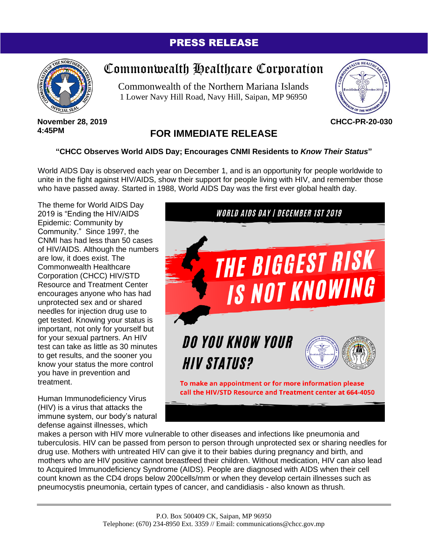## PRESS RELEASE



# Commonwealth Healthcare Corporation

Commonwealth of the Northern Mariana Islands 1 Lower Navy Hill Road, Navy Hill, Saipan, MP 96950



#### **November 28, 2019 4:45PM**

## **FOR IMMEDIATE RELEASE**

### **"CHCC Observes World AIDS Day; Encourages CNMI Residents to** *Know Their Status***"**

World AIDS Day is observed each year on December 1, and is an opportunity for people worldwide to unite in the fight against HIV/AIDS, show their support for people living with HIV, and remember those who have passed away. Started in 1988, World AIDS Day was the first ever global health day.

The theme for World AIDS Day 2019 is "Ending the HIV/AIDS Epidemic: Community by Community." Since 1997, the CNMI has had less than 50 cases of HIV/AIDS. Although the numbers are low, it does exist. The Commonwealth Healthcare Corporation (CHCC) HIV/STD Resource and Treatment Center encourages anyone who has had unprotected sex and or shared needles for injection drug use to get tested. Knowing your status is important, not only for yourself but for your sexual partners. An HIV test can take as little as 30 minutes to get results, and the sooner you know your status the more control you have in prevention and treatment.

Human Immunodeficiency Virus (HIV) is a virus that attacks the immune system, our body's natural defense against illnesses, which



makes a person with HIV more vulnerable to other diseases and infections like pneumonia and tuberculosis. HIV can be passed from person to person through unprotected sex or sharing needles for drug use. Mothers with untreated HIV can give it to their babies during pregnancy and birth, and mothers who are HIV positive cannot breastfeed their children. Without medication, HIV can also lead to Acquired Immunodeficiency Syndrome (AIDS). People are diagnosed with AIDS when their cell count known as the CD4 drops below 200cells/mm or when they develop certain illnesses such as pneumocystis pneumonia, certain types of cancer, and candidiasis - also known as thrush.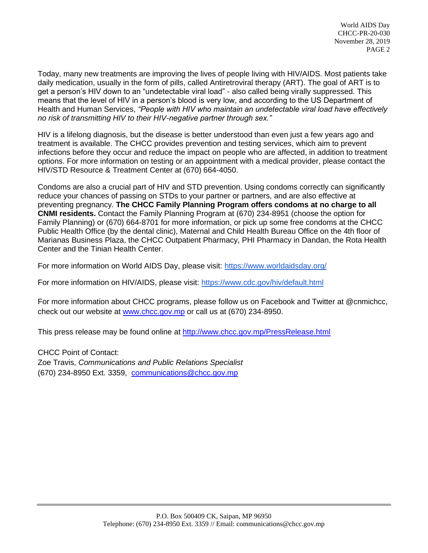World AIDS Day CHCC-PR-20-030 November 28, 2019 PAGE 2

Today, many new treatments are improving the lives of people living with HIV/AIDS. Most patients take daily medication, usually in the form of pills, called Antiretroviral therapy (ART). The goal of ART is to get a person's HIV down to an "undetectable viral load" - also called being virally suppressed. This means that the level of HIV in a person's blood is very low, and according to the US Department of Health and Human Services, *"People with HIV who maintain an undetectable viral load have effectively no risk of transmitting HIV to their HIV-negative partner through sex."*

HIV is a lifelong diagnosis, but the disease is better understood than even just a few years ago and treatment is available. The CHCC provides prevention and testing services, which aim to prevent infections before they occur and reduce the impact on people who are affected, in addition to treatment options. For more information on testing or an appointment with a medical provider, please contact the HIV/STD Resource & Treatment Center at (670) 664-4050.

Condoms are also a crucial part of HIV and STD prevention. Using condoms correctly can significantly reduce your chances of passing on STDs to your partner or partners, and are also effective at preventing pregnancy. **The CHCC Family Planning Program offers condoms at no charge to all CNMI residents.** Contact the Family Planning Program at (670) 234-8951 (choose the option for Family Planning) or (670) 664-8701 for more information, or pick up some free condoms at the CHCC Public Health Office (by the dental clinic), Maternal and Child Health Bureau Office on the 4th floor of Marianas Business Plaza, the CHCC Outpatient Pharmacy, PHI Pharmacy in Dandan, the Rota Health Center and the Tinian Health Center.

For more information on World AIDS Day, please visit:<https://www.worldaidsday.org/>

For more information on HIV/AIDS, please visit:<https://www.cdc.gov/hiv/default.html>

For more information about CHCC programs, please follow us on Facebook and Twitter at @cnmichcc, check out our website at [www.chcc.gov.mp](http://www.chcc.gov.mp/) or call us at (670) 234-8950.

This press release may be found online at<http://www.chcc.gov.mp/PressRelease.html>

CHCC Point of Contact: Zoe Travis, *Communications and Public Relations Specialist* (670) 234-8950 Ext. 3359, [communications@chcc.gov.mp](mailto:communications@chcc.gov.mp)